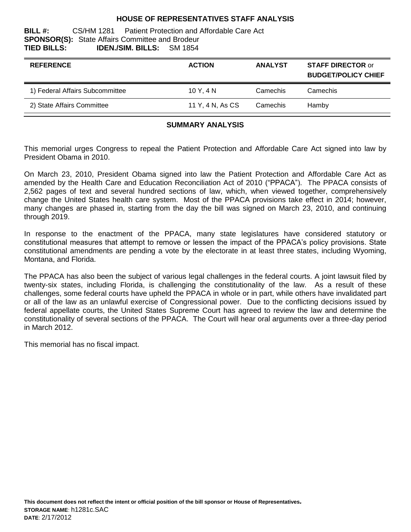#### **HOUSE OF REPRESENTATIVES STAFF ANALYSIS**

#### **BILL #:** CS/HM 1281 Patient Protection and Affordable Care Act **SPONSOR(S):** State Affairs Committee and Brodeur **TIED BILLS: IDEN./SIM. BILLS:** SM 1854

| <b>REFERENCE</b>                | <b>ACTION</b>    | <b>ANALYST</b> | <b>STAFF DIRECTOR or</b><br><b>BUDGET/POLICY CHIEF</b> |
|---------------------------------|------------------|----------------|--------------------------------------------------------|
| 1) Federal Affairs Subcommittee | 10Y.4N           | Camechis       | Camechis                                               |
| 2) State Affairs Committee      | 11 Y, 4 N, As CS | Camechis       | Hamby                                                  |

#### **SUMMARY ANALYSIS**

This memorial urges Congress to repeal the Patient Protection and Affordable Care Act signed into law by President Obama in 2010.

On March 23, 2010, President Obama signed into law the Patient Protection and Affordable Care Act as amended by the Health Care and Education Reconciliation Act of 2010 ("PPACA"). The PPACA consists of 2,562 pages of text and several hundred sections of law, which, when viewed together, comprehensively change the United States health care system. Most of the PPACA provisions take effect in 2014; however, many changes are phased in, starting from the day the bill was signed on March 23, 2010, and continuing through 2019.

In response to the enactment of the PPACA, many state legislatures have considered statutory or constitutional measures that attempt to remove or lessen the impact of the PPACA"s policy provisions. State constitutional amendments are pending a vote by the electorate in at least three states, including Wyoming, Montana, and Florida.

The PPACA has also been the subject of various legal challenges in the federal courts. A joint lawsuit filed by twenty-six states, including Florida, is challenging the constitutionality of the law. As a result of these challenges, some federal courts have upheld the PPACA in whole or in part, while others have invalidated part or all of the law as an unlawful exercise of Congressional power. Due to the conflicting decisions issued by federal appellate courts, the United States Supreme Court has agreed to review the law and determine the constitutionality of several sections of the PPACA. The Court will hear oral arguments over a three-day period in March 2012.

This memorial has no fiscal impact.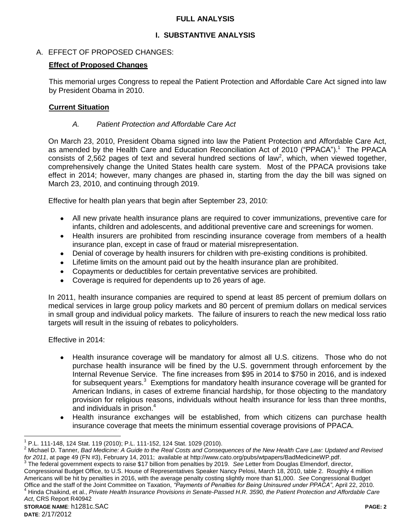### **FULL ANALYSIS**

# **I. SUBSTANTIVE ANALYSIS**

# A. EFFECT OF PROPOSED CHANGES:

### **Effect of Proposed Changes**

This memorial urges Congress to repeal the Patient Protection and Affordable Care Act signed into law by President Obama in 2010.

### **Current Situation**

# *A. Patient Protection and Affordable Care Act*

On March 23, 2010, President Obama signed into law the Patient Protection and Affordable Care Act, as amended by the Health Care and Education Reconciliation Act of 2010 ("PPACA"). 1 The PPACA consists of 2,562 pages of text and several hundred sections of law<sup>2</sup>, which, when viewed together, comprehensively change the United States health care system. Most of the PPACA provisions take effect in 2014; however, many changes are phased in, starting from the day the bill was signed on March 23, 2010, and continuing through 2019.

Effective for health plan years that begin after September 23, 2010:

- All new private health insurance plans are required to cover immunizations, preventive care for infants, children and adolescents, and additional preventive care and screenings for women.
- Health insurers are prohibited from rescinding insurance coverage from members of a health insurance plan, except in case of fraud or material misrepresentation.
- Denial of coverage by health insurers for children with pre-existing conditions is prohibited.
- Lifetime limits on the amount paid out by the health insurance plan are prohibited.
- Copayments or deductibles for certain preventative services are prohibited.
- Coverage is required for dependents up to 26 years of age.

In 2011, health insurance companies are required to spend at least 85 percent of premium dollars on medical services in large group policy markets and 80 percent of premium dollars on medical services in small group and individual policy markets. The failure of insurers to reach the new medical loss ratio targets will result in the issuing of rebates to policyholders.

Effective in 2014:

- Health insurance coverage will be mandatory for almost all U.S. citizens. Those who do not purchase health insurance will be fined by the U.S. government through enforcement by the Internal Revenue Service. The fine increases from \$95 in 2014 to \$750 in 2016, and is indexed for subsequent years. $3$  Exemptions for mandatory health insurance coverage will be granted for American Indians, in cases of extreme financial hardship, for those objecting to the mandatory provision for religious reasons, individuals without health insurance for less than three months, and individuals in prison.<sup>4</sup>
- Health insurance exchanges will be established, from which citizens can purchase health insurance coverage that meets the minimum essential coverage provisions of PPACA.

 $\overline{a}$ 

<sup>&</sup>lt;sup>1</sup> P.L. 111-148, 124 Stat. 119 (2010); P.L. 111-152, 124 Stat. 1029 (2010).

<sup>2</sup> Michael D. Tanner, *Bad Medicine: A Guide to the Real Costs and Consequences of the New Health Care Law: Updated and Revised for 2011*, at page 49 (FN #3), February 14, 2011; available at http://www.cato.org/pubs/wtpapers/BadMedicineWP.pdf.

<sup>&</sup>lt;sup>3</sup> The federal government expects to raise \$17 billion from penalties by 2019. See Letter from Douglas Elmendorf, director, Congressional Budget Office, to U.S. House of Representatives Speaker Nancy Pelosi, March 18, 2010, table 2. Roughly 4 million Americans will be hit by penalties in 2016, with the average penalty costing slightly more than \$1,000. *See* Congressional Budget Office and the staff of the Joint Committee on Taxation, *"Payments of Penalties for Being Uninsured under PPACA"*, April 22, 2010. <sup>4</sup> Hinda Chaikind, et al., *Private Health Insurance Provisions in Senate-Passed H.R. 3590, the Patient Protection and Affordable Care Act*, CRS Report R40942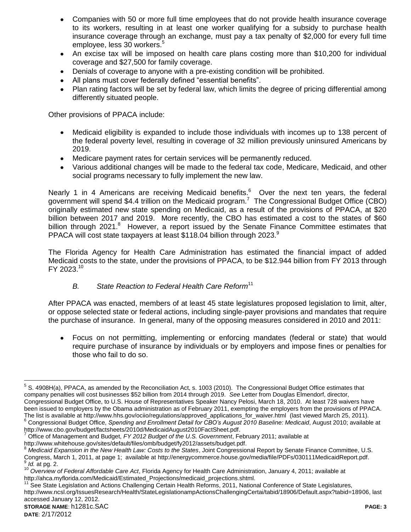- Companies with 50 or more full time employees that do not provide health insurance coverage to its workers, resulting in at least one worker qualifying for a subsidy to purchase health insurance coverage through an exchange, must pay a tax penalty of \$2,000 for every full time employee, less 30 workers.<sup>5</sup>
- An excise tax will be imposed on health care plans costing more than \$10,200 for individual  $\bullet$ coverage and \$27,500 for family coverage.
- Denials of coverage to anyone with a pre-existing condition will be prohibited.
- All plans must cover federally defined "essential benefits".
- Plan rating factors will be set by federal law, which limits the degree of pricing differential among differently situated people.

Other provisions of PPACA include:

- Medicaid eligibility is expanded to include those individuals with incomes up to 138 percent of  $\bullet$ the federal poverty level, resulting in coverage of 32 million previously uninsured Americans by 2019.
- Medicare payment rates for certain services will be permanently reduced.
- Various additional changes will be made to the federal tax code, Medicare, Medicaid, and other social programs necessary to fully implement the new law.

Nearly 1 in 4 Americans are receiving Medicaid benefits.<sup>6</sup> Over the next ten years, the federal government will spend \$4.4 trillion on the Medicaid program.<sup>7</sup> The Congressional Budget Office (CBO) originally estimated new state spending on Medicaid, as a result of the provisions of PPACA, at \$20 billion between 2017 and 2019. More recently, the CBO has estimated a cost to the states of \$60 billion through 2021.<sup>8</sup> However, a report issued by the Senate Finance Committee estimates that PPACA will cost state taxpayers at least \$118.04 billion through 2023. $9$ 

The Florida Agency for Health Care Administration has estimated the financial impact of added Medicaid costs to the state, under the provisions of PPACA, to be \$12.944 billion from FY 2013 through FY 2023.<sup>10</sup>

### *B. State Reaction to Federal Health Care Reform*<sup>11</sup>

After PPACA was enacted, members of at least 45 state legislatures proposed legislation to limit, alter, or oppose selected state or federal actions, including single-payer provisions and mandates that require the purchase of insurance. In general, many of the opposing measures considered in 2010 and 2011:

Focus on not permitting, implementing or enforcing mandates (federal or state) that would  $\bullet$ require purchase of insurance by individuals or by employers and impose fines or penalties for those who fail to do so.

 $\overline{a}$ 

 $5$  S. 4908H(a), PPACA, as amended by the Reconciliation Act, s. 1003 (2010). The Congressional Budget Office estimates that company penalties will cost businesses \$52 billion from 2014 through 2019. *See* Letter from Douglas Elmendorf, director, Congressional Budget Office, to U.S. House of Representatives Speaker Nancy Pelosi, March 18, 2010. At least 728 waivers have been issued to employers by the Obama administration as of February 2011, exempting the employers from the provisions of PPACA. The list is available at http://www.hhs.gov/ociio/regulations/approved\_applications\_for\_waiver.html (last viewed March 25, 2011).

<sup>6</sup> Congressional Budget Office, *Spending and Enrollment Detail for CBO's August 2010 Baseline: Medicaid*, August 2010; available at http://www.cbo.gov/budget/factsheets/2010d/MedicaidAugust2010FactSheet.pdf.

<sup>7</sup> Office of Management and Budget, *FY 2012 Budget of the U.S. Government*, February 2011; available at

http://www.whitehouse.gov/sites/default/files/omb/budget/fy2012/assets/budget.pdf.

<sup>8</sup> Medicaid Expansion in the New Health Law: Costs to the States, Joint Congressional Report by Senate Finance Committee, U.S. Congress, March 1, 2011, at page 1; available at http://energycommerce.house.gov/media/file/PDFs/030111MedicaidReport.pdf. 9 *Id.* at pg. 2.

<sup>10</sup> *Overview of Federal Affordable Care Act*, Florida Agency for Health Care Administration, January 4, 2011; available at http://ahca.myflorida.com/Medicaid/Estimated\_Projections/medicaid\_projections.shtml.

<sup>&</sup>lt;sup>11</sup> See State Legislation and Actions Challenging Certain Health Reforms, 2011, National Conference of State Legislatures, http://www.ncsl.org/IssuesResearch/Health/StateLegislationampActionsChallengingCertai/tabid/18906/Default.aspx?tabid=18906, last accessed January 12, 2012.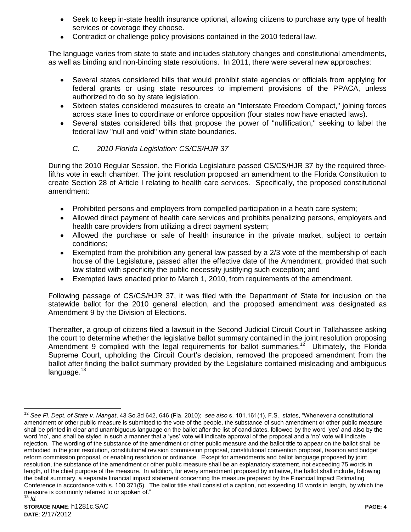- Seek to keep in-state health insurance optional, allowing citizens to purchase any type of health services or coverage they choose.
- Contradict or challenge policy provisions contained in the 2010 federal law.

The language varies from state to state and includes statutory changes and constitutional amendments, as well as binding and non-binding state resolutions. In 2011, there were several new approaches:

- Several states considered bills that would prohibit state agencies or officials from applying for federal grants or using state resources to implement provisions of the PPACA, unless authorized to do so by state legislation.
- Sixteen states considered measures to create an "Interstate Freedom Compact," joining forces across state lines to coordinate or enforce opposition (four states now have enacted laws).
- Several states considered bills that propose the power of "nullification," seeking to label the federal law "null and void" within state boundaries.

# *C. 2010 Florida Legislation: CS/CS/HJR 37*

During the 2010 Regular Session, the Florida Legislature passed CS/CS/HJR 37 by the required threefifths vote in each chamber. The joint resolution proposed an amendment to the Florida Constitution to create Section 28 of Article I relating to health care services. Specifically, the proposed constitutional amendment:

- Prohibited persons and employers from compelled participation in a heath care system;
- Allowed direct payment of health care services and prohibits penalizing persons, employers and health care providers from utilizing a direct payment system;
- Allowed the purchase or sale of health insurance in the private market, subject to certain conditions;
- Exempted from the prohibition any general law passed by a 2/3 vote of the membership of each house of the Legislature, passed after the effective date of the Amendment, provided that such law stated with specificity the public necessity justifying such exception; and
- Exempted laws enacted prior to March 1, 2010, from requirements of the amendment.

Following passage of CS/CS/HJR 37, it was filed with the Department of State for inclusion on the statewide ballot for the 2010 general election, and the proposed amendment was designated as Amendment 9 by the Division of Elections.

Thereafter, a group of citizens filed a lawsuit in the Second Judicial Circuit Court in Tallahassee asking the court to determine whether the legislative ballot summary contained in the joint resolution proposing Amendment 9 complied with the legal requirements for ballot summaries.<sup>12</sup> Ultimately, the Florida Supreme Court, upholding the Circuit Court"s decision, removed the proposed amendment from the ballot after finding the ballot summary provided by the Legislature contained misleading and ambiguous language.<sup>13</sup>

 $12$ <sup>12</sup> *See Fl. Dept. of State v. Mangat*, 43 So.3d 642, 646 (Fla. 2010); *see also* s. 101.161(1), F.S., states, "Whenever a constitutional amendment or other public measure is submitted to the vote of the people, the substance of such amendment or other public measure shall be printed in clear and unambiguous language on the ballot after the list of candidates, followed by the word "yes" and also by the word 'no', and shall be styled in such a manner that a 'yes' vote will indicate approval of the proposal and a 'no' vote will indicate rejection. The wording of the substance of the amendment or other public measure and the ballot title to appear on the ballot shall be embodied in the joint resolution, constitutional revision commission proposal, constitutional convention proposal, taxation and budget reform commission proposal, or enabling resolution or ordinance. Except for amendments and ballot language proposed by joint resolution, the substance of the amendment or other public measure shall be an explanatory statement, not exceeding 75 words in length, of the chief purpose of the measure. In addition, for every amendment proposed by initiative, the ballot shall include, following the ballot summary, a separate financial impact statement concerning the measure prepared by the Financial Impact Estimating Conference in accordance with s. 100.371(5). The ballot title shall consist of a caption, not exceeding 15 words in length, by which the measure is commonly referred to or spoken of." <sup>13</sup> *Id.*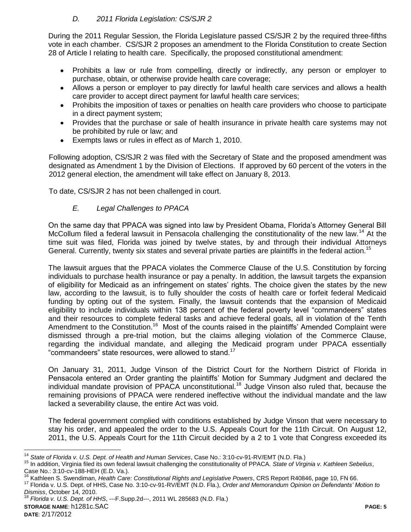# *D. 2011 Florida Legislation: CS/SJR 2*

During the 2011 Regular Session, the Florida Legislature passed CS/SJR 2 by the required three-fifths vote in each chamber. CS/SJR 2 proposes an amendment to the Florida Constitution to create Section 28 of Article I relating to health care. Specifically, the proposed constitutional amendment:

- Prohibits a law or rule from compelling, directly or indirectly, any person or employer to  $\bullet$ purchase, obtain, or otherwise provide health care coverage;
- Allows a person or employer to pay directly for lawful health care services and allows a health care provider to accept direct payment for lawful health care services;
- Prohibits the imposition of taxes or penalties on health care providers who choose to participate in a direct payment system;
- Provides that the purchase or sale of health insurance in private health care systems may not be prohibited by rule or law; and
- Exempts laws or rules in effect as of March 1, 2010.  $\bullet$

Following adoption, CS/SJR 2 was filed with the Secretary of State and the proposed amendment was designated as Amendment 1 by the Division of Elections. If approved by 60 percent of the voters in the 2012 general election, the amendment will take effect on January 8, 2013.

To date, CS/SJR 2 has not been challenged in court.

# *E. Legal Challenges to PPACA*

On the same day that PPACA was signed into law by President Obama, Florida"s Attorney General Bill McCollum filed a federal lawsuit in Pensacola challenging the constitutionality of the new law.<sup>14</sup> At the time suit was filed, Florida was joined by twelve states, by and through their individual Attorneys General. Currently, twenty six states and several private parties are plaintiffs in the federal action.<sup>15</sup>

The lawsuit argues that the PPACA violates the Commerce Clause of the U.S. Constitution by forcing individuals to purchase health insurance or pay a penalty. In addition, the lawsuit targets the expansion of eligibility for Medicaid as an infringement on states' rights. The choice given the states by the new law, according to the lawsuit, is to fully shoulder the costs of health care or forfeit federal Medicaid funding by opting out of the system. Finally, the lawsuit contends that the expansion of Medicaid eligibility to include individuals within 138 percent of the federal poverty level "commandeers" states and their resources to complete federal tasks and achieve federal goals, all in violation of the Tenth Amendment to the Constitution.<sup>16</sup> Most of the counts raised in the plaintiffs' Amended Complaint were dismissed through a pre-trial motion, but the claims alleging violation of the Commerce Clause, regarding the individual mandate, and alleging the Medicaid program under PPACA essentially "commandeers" state resources, were allowed to stand.<sup>17</sup>

On January 31, 2011, Judge Vinson of the District Court for the Northern District of Florida in Pensacola entered an Order granting the plaintiffs" Motion for Summary Judgment and declared the individual mandate provision of PPACA unconstitutional.<sup>18</sup> Judge Vinson also ruled that, because the remaining provisions of PPACA were rendered ineffective without the individual mandate and the law lacked a severability clause, the entire Act was void.

The federal government complied with conditions established by Judge Vinson that were necessary to stay his order, and appealed the order to the U.S. Appeals Court for the 11th Circuit. On August 12, 2011, the U.S. Appeals Court for the 11th Circuit decided by a 2 to 1 vote that Congress exceeded its

**STORAGE NAME**: h1281c.SAC **PAGE: 5 DATE**: 2/17/2012 <sup>18</sup> *Florida v. U.S. Dept. of HHS*, ---F.Supp.2d---, 2011 WL 285683 (N.D. Fla.)

 $\overline{a}$ 

<sup>14</sup> *State of Florida v. U.S. Dept. of Health and Human Services*, Case No.: 3:10-cv-91-RV/EMT (N.D. Fla.)

<sup>15</sup> In addition, Virginia filed its own federal lawsuit challenging the constitutionality of PPACA. *State of Virginia v. Kathleen Sebelius*, Case No.: 3:10-cv-188-HEH (E.D. Va.).

<sup>16</sup> Kathleen S. Swendiman, *Health Care: Constitutional Rights and Legislative Powers*, CRS Report R40846, page 10, FN 66.

<sup>17</sup> Florida v. U.S. Dept. of HHS, Case No. 3:10-cv-91-RV/EMT (N.D. Fla.), *Order and Memorandum Opinion on Defendants' Motion to Dismiss*, October 14, 2010.<br><sup>18</sup> Florida v. *L.C.*